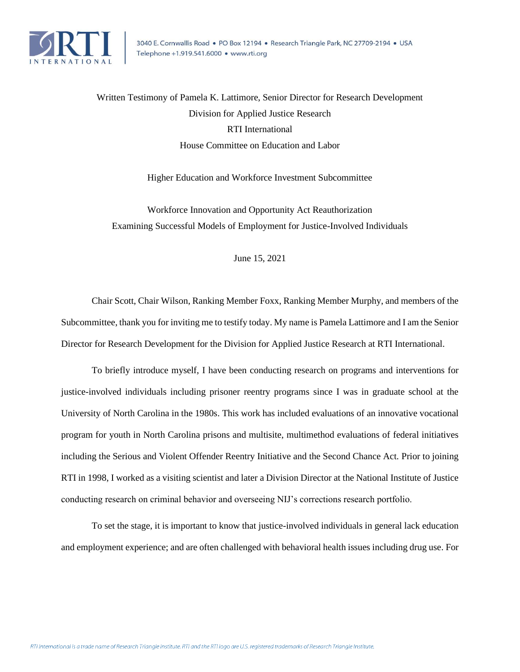

Written Testimony of Pamela K. Lattimore, Senior Director for Research Development Division for Applied Justice Research RTI International House Committee on Education and Labor

Higher Education and Workforce Investment Subcommittee

Workforce Innovation and Opportunity Act Reauthorization Examining Successful Models of Employment for Justice-Involved Individuals

June 15, 2021

Chair Scott, Chair Wilson, Ranking Member Foxx, Ranking Member Murphy, and members of the Subcommittee, thank you for inviting me to testify today. My name is Pamela Lattimore and I am the Senior Director for Research Development for the Division for Applied Justice Research at RTI International.

To briefly introduce myself, I have been conducting research on programs and interventions for justice-involved individuals including prisoner reentry programs since I was in graduate school at the University of North Carolina in the 1980s. This work has included evaluations of an innovative vocational program for youth in North Carolina prisons and multisite, multimethod evaluations of federal initiatives including the Serious and Violent Offender Reentry Initiative and the Second Chance Act. Prior to joining RTI in 1998, I worked as a visiting scientist and later a Division Director at the National Institute of Justice conducting research on criminal behavior and overseeing NIJ's corrections research portfolio.

To set the stage, it is important to know that justice-involved individuals in general lack education and employment experience; and are often challenged with behavioral health issues including drug use. For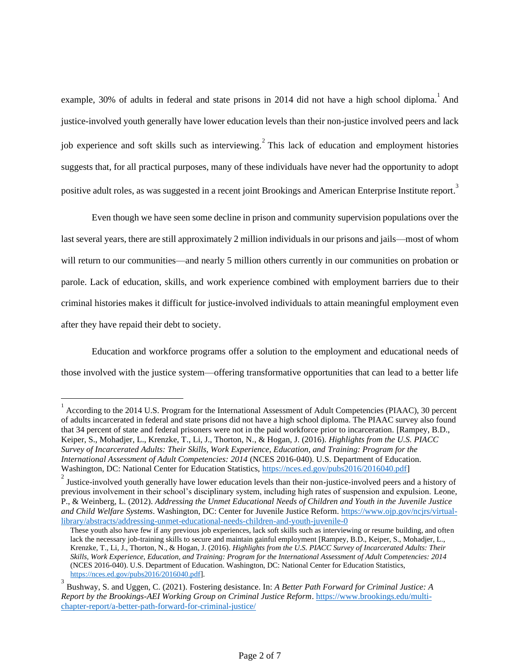example, 30% of adults in federal and state prisons in 2014 did not have a high school diploma. And justice-involved youth generally have lower education levels than their non-justice involved peers and lack job experience and soft skills such as interviewing.  $2$  This lack of education and employment histories suggests that, for all practical purposes, many of these individuals have never had the opportunity to adopt positive adult roles, as was suggested in a recent joint Brookings and American Enterprise Institute report.<sup>3</sup>

Even though we have seen some decline in prison and community supervision populations over the last several years, there are still approximately 2 million individuals in our prisons and jails—most of whom will return to our communities—and nearly 5 million others currently in our communities on probation or parole. Lack of education, skills, and work experience combined with employment barriers due to their criminal histories makes it difficult for justice-involved individuals to attain meaningful employment even after they have repaid their debt to society.

Education and workforce programs offer a solution to the employment and educational needs of those involved with the justice system—offering transformative opportunities that can lead to a better life

<sup>&</sup>lt;sup>1</sup> According to the 2014 U.S. Program for the International Assessment of Adult Competencies (PIAAC), 30 percent of adults incarcerated in federal and state prisons did not have a high school diploma. The PIAAC survey also found that 34 percent of state and federal prisoners were not in the paid workforce prior to incarceration. [Rampey, B.D., Keiper, S., Mohadjer, L., Krenzke, T., Li, J., Thorton, N., & Hogan, J. (2016). *Highlights from the U.S. PIACC Survey of Incarcerated Adults: Their Skills, Work Experience, Education, and Training: Program for the International Assessment of Adult Competencies: 2014* (NCES 2016-040). U.S. Department of Education. Washington, DC: National Center for Education Statistics, [https://nces.ed.gov/pubs2016/2016040.pdf\]](https://nam04.safelinks.protection.outlook.com/?url=https%3A%2F%2Fnces.ed.gov%2Fpubs2016%2F2016040.pdf&data=04%7C01%7Clattimore%40rti.org%7C8b6343bf36974e1c375808d92d1f0af7%7C2ffc2ede4d4449948082487341fa43fb%7C0%7C0%7C637590433612634918%7CUnknown%7CTWFpbGZsb3d8eyJWIjoiMC4wLjAwMDAiLCJQIjoiV2luMzIiLCJBTiI6Ik1haWwiLCJXVCI6Mn0%3D%7C1000&sdata=lCpxXurUshjCYiow7OdKAYSWVRLxln17seyxkq4c1eY%3D&reserved=0)

<sup>&</sup>lt;sup>2</sup> Justice-involved youth generally have lower education levels than their non-justice-involved peers and a history of previous involvement in their school's disciplinary system, including high rates of suspension and expulsion. Leone, P., & Weinberg, L. (2012). *Addressing the Unmet Educational Needs of Children and Youth in the Juvenile Justice and Child Welfare Systems*. Washington, DC: Center for Juvenile Justice Reform. [https://www.ojp.gov/ncjrs/virtual](https://www.ojp.gov/ncjrs/virtual-library/abstracts/addressing-unmet-educational-needs-children-and-youth-juvenile-0)[library/abstracts/addressing-unmet-educational-needs-children-and-youth-juvenile-0](https://www.ojp.gov/ncjrs/virtual-library/abstracts/addressing-unmet-educational-needs-children-and-youth-juvenile-0)

These youth also have few if any previous job experiences, lack soft skills such as interviewing or resume building, and often lack the necessary job-training skills to secure and maintain gainful employment [Rampey, B.D., Keiper, S., Mohadjer, L., Krenzke, T., Li, J., Thorton, N., & Hogan, J. (2016). *Highlights from the U.S. PIACC Survey of Incarcerated Adults: Their Skills, Work Experience, Education, and Training: Program for the International Assessment of Adult Competencies: 2014* (NCES 2016-040). U.S. Department of Education. Washington, DC: National Center for Education Statistics, [https://nces.ed.gov/pubs2016/2016040.pdf\]](https://nam04.safelinks.protection.outlook.com/?url=https%3A%2F%2Fnces.ed.gov%2Fpubs2016%2F2016040.pdf&data=04%7C01%7Clattimore%40rti.org%7C8b6343bf36974e1c375808d92d1f0af7%7C2ffc2ede4d4449948082487341fa43fb%7C0%7C0%7C637590433612634918%7CUnknown%7CTWFpbGZsb3d8eyJWIjoiMC4wLjAwMDAiLCJQIjoiV2luMzIiLCJBTiI6Ik1haWwiLCJXVCI6Mn0%3D%7C1000&sdata=lCpxXurUshjCYiow7OdKAYSWVRLxln17seyxkq4c1eY%3D&reserved=0).

<sup>3</sup> Bushway, S. and Uggen, C. (2021). Fostering desistance. In: *A Better Path Forward for Criminal Justice: A Report by the Brookings-AEI Working Group on Criminal Justice Reform*. [https://www.brookings.edu/multi](https://nam04.safelinks.protection.outlook.com/?url=https%3A%2F%2Furldefense.proofpoint.com%2Fv2%2Furl%3Fu%3Dhttps-3A__www.brookings.edu_multi-2Dchapter-2Dreport_a-2Dbetter-2Dpath-2Dforward-2Dfor-2Dcriminal-2Djustice_%26d%3DDwMFAg%26c%3DL93KkjKsAC98uTvC4KvQDdTDRzAeWDDRmG6S3YXllH0%26r%3DNAbF7czSMU9W98_CK0CgvUtGgViVfE2tzpnbLH7dTtM%26m%3DQjJlztv63gznAwR7zY4RRCCB3flNQzHyOpRHE30O4oI%26s%3DnbjQv0k1s4WNaSggUlCbqKVSDaJhMsiaQxv5cQ-7LxA%26e%3D&data=04%7C01%7Clattimore%40rti.org%7C3adbdff769f049c3ef0508d9260346f3%7C2ffc2ede4d4449948082487341fa43fb%7C0%7C0%7C637582617800718768%7CUnknown%7CTWFpbGZsb3d8eyJWIjoiMC4wLjAwMDAiLCJQIjoiV2luMzIiLCJBTiI6Ik1haWwiLCJXVCI6Mn0%3D%7C1000&sdata=OJxG%2BDRlBhfVaoX1ha6GEzF8MDuE53TuKPJqC%2FqHnKg%3D&reserved=0)[chapter-report/a-better-path-forward-for-criminal-justice/](https://nam04.safelinks.protection.outlook.com/?url=https%3A%2F%2Furldefense.proofpoint.com%2Fv2%2Furl%3Fu%3Dhttps-3A__www.brookings.edu_multi-2Dchapter-2Dreport_a-2Dbetter-2Dpath-2Dforward-2Dfor-2Dcriminal-2Djustice_%26d%3DDwMFAg%26c%3DL93KkjKsAC98uTvC4KvQDdTDRzAeWDDRmG6S3YXllH0%26r%3DNAbF7czSMU9W98_CK0CgvUtGgViVfE2tzpnbLH7dTtM%26m%3DQjJlztv63gznAwR7zY4RRCCB3flNQzHyOpRHE30O4oI%26s%3DnbjQv0k1s4WNaSggUlCbqKVSDaJhMsiaQxv5cQ-7LxA%26e%3D&data=04%7C01%7Clattimore%40rti.org%7C3adbdff769f049c3ef0508d9260346f3%7C2ffc2ede4d4449948082487341fa43fb%7C0%7C0%7C637582617800718768%7CUnknown%7CTWFpbGZsb3d8eyJWIjoiMC4wLjAwMDAiLCJQIjoiV2luMzIiLCJBTiI6Ik1haWwiLCJXVCI6Mn0%3D%7C1000&sdata=OJxG%2BDRlBhfVaoX1ha6GEzF8MDuE53TuKPJqC%2FqHnKg%3D&reserved=0)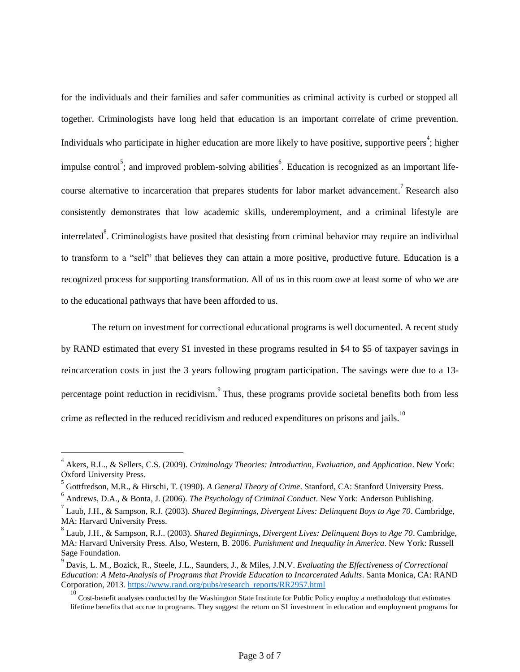for the individuals and their families and safer communities as criminal activity is curbed or stopped all together. Criminologists have long held that education is an important correlate of crime prevention. Individuals who participate in higher education are more likely to have positive, supportive peers<sup>4</sup>; higher impulse control<sup>5</sup>; and improved problem-solving abilities  $\overset{6}{\cdot}$ . Education is recognized as an important lifecourse alternative to incarceration that prepares students for labor market advancement.<sup>7</sup> Research also consistently demonstrates that low academic skills, underemployment, and a criminal lifestyle are interrelated<sup>8</sup>. Criminologists have posited that desisting from criminal behavior may require an individual to transform to a "self" that believes they can attain a more positive, productive future. Education is a recognized process for supporting transformation. All of us in this room owe at least some of who we are to the educational pathways that have been afforded to us.

The return on investment for correctional educational programs is well documented. A recent study by RAND estimated that every \$1 invested in these programs resulted in \$4 to \$5 of taxpayer savings in reincarceration costs in just the 3 years following program participation. The savings were due to a 13 percentage point reduction in recidivism. <sup>9</sup> Thus, these programs provide societal benefits both from less crime as reflected in the reduced recidivism and reduced expenditures on prisons and jails.<sup>10</sup>

<sup>4</sup> Akers, R.L., & Sellers, C.S. (2009). *Criminology Theories: Introduction, Evaluation, and Application*. New York: Oxford University Press.

<sup>5</sup> Gottfredson, M.R., & Hirschi, T. (1990). *A General Theory of Crime*. Stanford, CA: Stanford University Press.

<sup>6</sup> Andrews, D.A., & Bonta, J. (2006). *The Psychology of Criminal Conduct*. New York: Anderson Publishing.

<sup>7</sup> Laub, J.H., & Sampson, R.J. (2003). *Shared Beginnings, Divergent Lives: Delinquent Boys to Age 70*. Cambridge, MA: Harvard University Press.

<sup>8</sup> Laub, J.H., & Sampson, R.J.. (2003). *Shared Beginnings, Divergent Lives: Delinquent Boys to Age 70*. Cambridge, MA: Harvard University Press. Also, Western, B. 2006. *Punishment and Inequality in America*. New York: Russell Sage Foundation.

<sup>9</sup> Davis, L. M., Bozick, R., Steele, J.L., Saunders, J., & Miles, J.N.V. *Evaluating the Effectiveness of Correctional Education: A Meta-Analysis of Programs that Provide Education to Incarcerated Adults*. Santa Monica, CA: RAND Corporation, 2013. [https://www.rand.org/pubs/research\\_reports/RR2957.html](https://nam04.safelinks.protection.outlook.com/?url=https%3A%2F%2Fwww.rand.org%2Fpubs%2Fresearch_reports%2FRR2957.html&data=04%7C01%7Clattimore%40rti.org%7C8b6343bf36974e1c375808d92d1f0af7%7C2ffc2ede4d4449948082487341fa43fb%7C0%7C0%7C637590433612624650%7CUnknown%7CTWFpbGZsb3d8eyJWIjoiMC4wLjAwMDAiLCJQIjoiV2luMzIiLCJBTiI6Ik1haWwiLCJXVCI6Mn0%3D%7C1000&sdata=DVlHKgg0Y5ofJHRD6dJbujQQbGbldgYDzS7iiVY8tus%3D&reserved=0)

<sup>10</sup> Cost-benefit analyses conducted by the Washington State Institute for Public Policy employ a methodology that estimates lifetime benefits that accrue to programs. They suggest the return on \$1 investment in education and employment programs for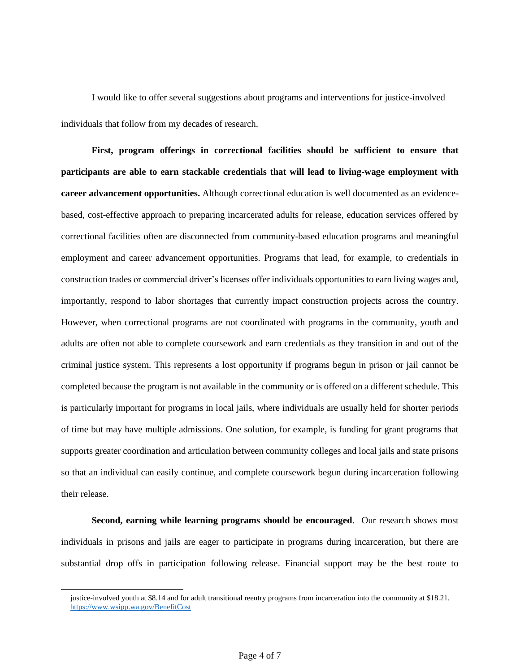I would like to offer several suggestions about programs and interventions for justice-involved individuals that follow from my decades of research.

**First, program offerings in correctional facilities should be sufficient to ensure that participants are able to earn stackable credentials that will lead to living-wage employment with career advancement opportunities.** Although correctional education is well documented as an evidencebased, cost-effective approach to preparing incarcerated adults for release, education services offered by correctional facilities often are disconnected from community-based education programs and meaningful employment and career advancement opportunities. Programs that lead, for example, to credentials in construction trades or commercial driver's licenses offer individuals opportunities to earn living wages and, importantly, respond to labor shortages that currently impact construction projects across the country. However, when correctional programs are not coordinated with programs in the community, youth and adults are often not able to complete coursework and earn credentials as they transition in and out of the criminal justice system. This represents a lost opportunity if programs begun in prison or jail cannot be completed because the program is not available in the community or is offered on a different schedule. This is particularly important for programs in local jails, where individuals are usually held for shorter periods of time but may have multiple admissions. One solution, for example, is funding for grant programs that supports greater coordination and articulation between community colleges and local jails and state prisons so that an individual can easily continue, and complete coursework begun during incarceration following their release.

**Second, earning while learning programs should be encouraged.** Our research shows most individuals in prisons and jails are eager to participate in programs during incarceration, but there are substantial drop offs in participation following release. Financial support may be the best route to

justice-involved youth at \$8.14 and for adult transitional reentry programs from incarceration into the community at \$18.21. https://www.wsipp.wa.gov/BenefitCost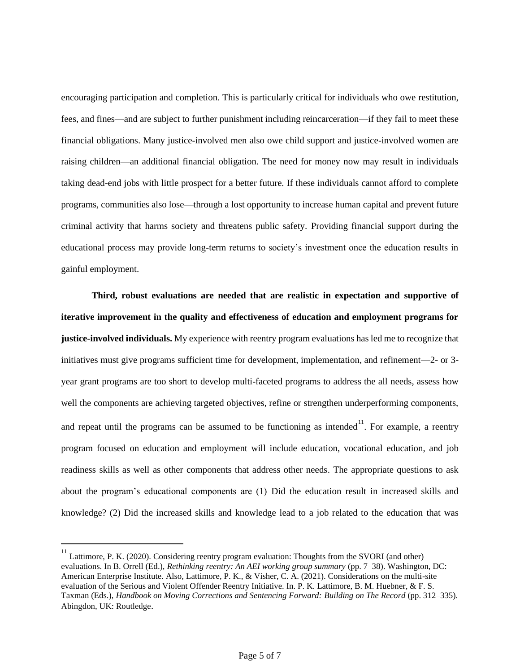encouraging participation and completion. This is particularly critical for individuals who owe restitution, fees, and fines—and are subject to further punishment including reincarceration—if they fail to meet these financial obligations. Many justice-involved men also owe child support and justice-involved women are raising children—an additional financial obligation. The need for money now may result in individuals taking dead-end jobs with little prospect for a better future. If these individuals cannot afford to complete programs, communities also lose—through a lost opportunity to increase human capital and prevent future criminal activity that harms society and threatens public safety. Providing financial support during the educational process may provide long-term returns to society's investment once the education results in gainful employment.

**Third, robust evaluations are needed that are realistic in expectation and supportive of iterative improvement in the quality and effectiveness of education and employment programs for justice-involved individuals.** My experience with reentry program evaluations has led me to recognize that initiatives must give programs sufficient time for development, implementation, and refinement—2- or 3 year grant programs are too short to develop multi-faceted programs to address the all needs, assess how well the components are achieving targeted objectives, refine or strengthen underperforming components, and repeat until the programs can be assumed to be functioning as intended<sup>11</sup>. For example, a reentry program focused on education and employment will include education, vocational education, and job readiness skills as well as other components that address other needs. The appropriate questions to ask about the program's educational components are (1) Did the education result in increased skills and knowledge? (2) Did the increased skills and knowledge lead to a job related to the education that was

<sup>&</sup>lt;sup>11</sup> Lattimore, P. K. (2020). Considering reentry program evaluation: Thoughts from the SVORI (and other) evaluations. In B. Orrell (Ed.), *Rethinking reentry: An AEI working group summary* (pp. 7–38). Washington, DC: American Enterprise Institute. Also, Lattimore, P. K., & Visher, C. A. (2021). Considerations on the multi-site evaluation of the Serious and Violent Offender Reentry Initiative. In. P. K. Lattimore, B. M. Huebner, & F. S. Taxman (Eds.), *Handbook on Moving Corrections and Sentencing Forward: Building on The Record* (pp. 312–335). Abingdon, UK: Routledge.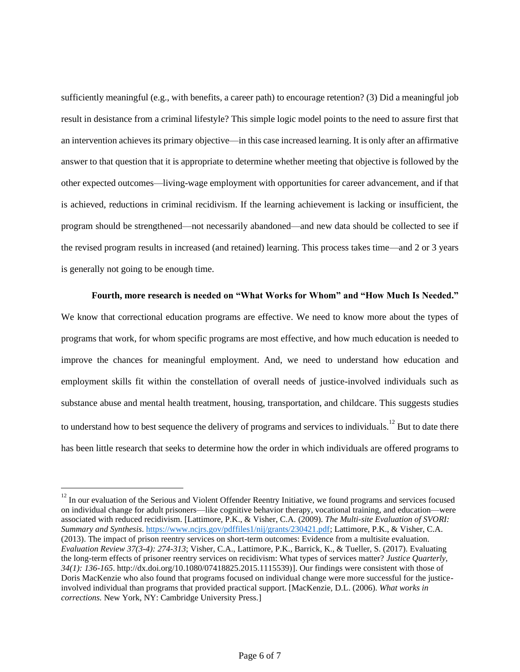sufficiently meaningful (e.g., with benefits, a career path) to encourage retention? (3) Did a meaningful job result in desistance from a criminal lifestyle? This simple logic model points to the need to assure first that an intervention achieves its primary objective—in this case increased learning. It is only after an affirmative answer to that question that it is appropriate to determine whether meeting that objective is followed by the other expected outcomes—living-wage employment with opportunities for career advancement, and if that is achieved, reductions in criminal recidivism. If the learning achievement is lacking or insufficient, the program should be strengthened—not necessarily abandoned—and new data should be collected to see if the revised program results in increased (and retained) learning. This process takes time—and 2 or 3 years is generally not going to be enough time.

## **Fourth, more research is needed on "What Works for Whom" and "How Much Is Needed."**

We know that correctional education programs are effective. We need to know more about the types of programs that work, for whom specific programs are most effective, and how much education is needed to improve the chances for meaningful employment. And, we need to understand how education and employment skills fit within the constellation of overall needs of justice-involved individuals such as substance abuse and mental health treatment, housing, transportation, and childcare. This suggests studies to understand how to best sequence the delivery of programs and services to individuals.<sup>12</sup> But to date there has been little research that seeks to determine how the order in which individuals are offered programs to

 $12$  In our evaluation of the Serious and Violent Offender Reentry Initiative, we found programs and services focused on individual change for adult prisoners—like cognitive behavior therapy, vocational training, and education—were associated with reduced recidivism. [Lattimore, P.K., & Visher, C.A. (2009). *The Multi-site Evaluation of SVORI: Summary and Synthesis*. [https://www.ncjrs.gov/pdffiles1/nij/grants/230421.pdf;](https://www.ncjrs.gov/pdffiles1/nij/grants/230421.pdf) Lattimore, P.K., & Visher, C.A. (2013). The impact of prison reentry services on short-term outcomes: Evidence from a multisite evaluation. *Evaluation Review 37(3-4): 274-313*; Visher, C.A., Lattimore, P.K., Barrick, K., & Tueller, S. (2017). Evaluating the long-term effects of prisoner reentry services on recidivism: What types of services matter? *Justice Quarterly, 34(1): 136-165*. http://dx.doi.org/10.1080/07418825.2015.1115539)]. Our findings were consistent with those of Doris MacKenzie who also found that programs focused on individual change were more successful for the justiceinvolved individual than programs that provided practical support. [MacKenzie, D.L. (2006). *What works in corrections.* New York, NY: Cambridge University Press.]